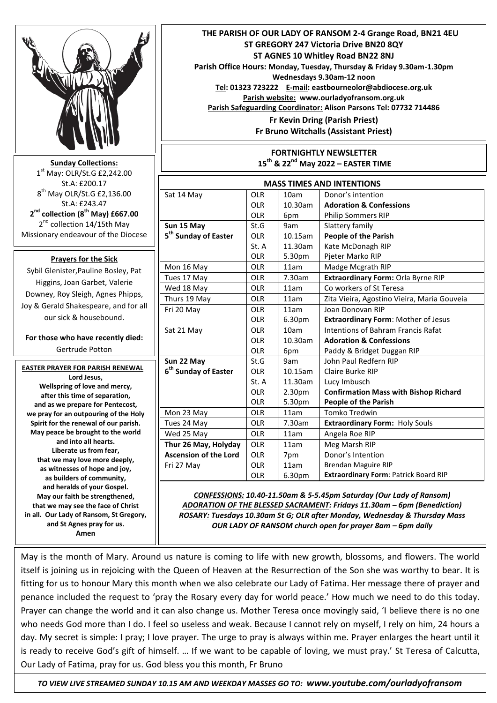|                                                                                                               |                                                                           | THE PARISH OF OUR LADY OF RANSOM 2-4 Grange Road, BN21 4EU<br>ST GREGORY 247 Victoria Drive BN20 8QY<br>ST AGNES 10 Whitley Road BN22 8NJ<br>Parish Office Hours: Monday, Tuesday, Thursday & Friday 9.30am-1.30pm<br>Wednesdays 9.30am-12 noon<br>Tel: 01323 723222 E-mail: eastbourneolor@abdiocese.org.uk<br>Parish website: www.ourladyofransom.org.uk<br>Parish Safeguarding Coordinator: Alison Parsons Tel: 07732 714486<br>Fr Kevin Dring (Parish Priest)<br>Fr Bruno Witchalls (Assistant Priest)<br><b>FORTNIGHTLY NEWSLETTER</b> |                                                           |            |                                                                            |
|---------------------------------------------------------------------------------------------------------------|---------------------------------------------------------------------------|---------------------------------------------------------------------------------------------------------------------------------------------------------------------------------------------------------------------------------------------------------------------------------------------------------------------------------------------------------------------------------------------------------------------------------------------------------------------------------------------------------------------------------------------|-----------------------------------------------------------|------------|----------------------------------------------------------------------------|
|                                                                                                               |                                                                           |                                                                                                                                                                                                                                                                                                                                                                                                                                                                                                                                             |                                                           |            |                                                                            |
| <b>Sunday Collections:</b><br>$1st$ May: OLR/St.G £2,242.00                                                   |                                                                           | 15 <sup>th</sup> & 22 <sup>nd</sup> May 2022 - EASTER TIME                                                                                                                                                                                                                                                                                                                                                                                                                                                                                  |                                                           |            |                                                                            |
|                                                                                                               |                                                                           |                                                                                                                                                                                                                                                                                                                                                                                                                                                                                                                                             |                                                           |            |                                                                            |
|                                                                                                               | 8 <sup>th</sup> May OLR/St.G £2,136.00                                    | Sat 14 May                                                                                                                                                                                                                                                                                                                                                                                                                                                                                                                                  | OLR                                                       | 10am       | Donor's intention                                                          |
|                                                                                                               | St.A: £243.47<br>2 <sup>nd</sup> collection (8 <sup>th</sup> May) £667.00 |                                                                                                                                                                                                                                                                                                                                                                                                                                                                                                                                             | <b>OLR</b>                                                | 10.30am    | <b>Adoration &amp; Confessions</b>                                         |
|                                                                                                               |                                                                           |                                                                                                                                                                                                                                                                                                                                                                                                                                                                                                                                             | <b>OLR</b>                                                | 6pm        | Philip Sommers RIP                                                         |
|                                                                                                               | 2 <sup>nd</sup> collection 14/15th May                                    | Sun 15 May                                                                                                                                                                                                                                                                                                                                                                                                                                                                                                                                  | St.G                                                      | 9am        | Slattery family                                                            |
|                                                                                                               | Missionary endeavour of the Diocese                                       | 5 <sup>th</sup> Sunday of Easter                                                                                                                                                                                                                                                                                                                                                                                                                                                                                                            | <b>OLR</b>                                                | 10.15am    | <b>People of the Parish</b>                                                |
|                                                                                                               |                                                                           |                                                                                                                                                                                                                                                                                                                                                                                                                                                                                                                                             | St. A                                                     | 11.30am    | Kate McDonagh RIP                                                          |
|                                                                                                               | <b>Prayers for the Sick</b>                                               |                                                                                                                                                                                                                                                                                                                                                                                                                                                                                                                                             | <b>OLR</b>                                                | 5.30pm     | Pjeter Marko RIP                                                           |
|                                                                                                               | Sybil Glenister, Pauline Bosley, Pat                                      | Mon 16 May                                                                                                                                                                                                                                                                                                                                                                                                                                                                                                                                  | <b>OLR</b>                                                | 11am       | Madge Mcgrath RIP                                                          |
|                                                                                                               | Higgins, Joan Garbet, Valerie                                             | Tues 17 May                                                                                                                                                                                                                                                                                                                                                                                                                                                                                                                                 | <b>OLR</b>                                                | 7.30am     | Extraordinary Form: Orla Byrne RIP                                         |
|                                                                                                               | Downey, Roy Sleigh, Agnes Phipps,                                         | Wed 18 May                                                                                                                                                                                                                                                                                                                                                                                                                                                                                                                                  | OLR                                                       | 11am       | Co workers of St Teresa                                                    |
|                                                                                                               |                                                                           | Thurs 19 May                                                                                                                                                                                                                                                                                                                                                                                                                                                                                                                                | OLR                                                       | 11am       | Zita Vieira, Agostino Vieira, Maria Gouveia                                |
|                                                                                                               | Joy & Gerald Shakespeare, and for all                                     | Fri 20 May                                                                                                                                                                                                                                                                                                                                                                                                                                                                                                                                  | <b>OLR</b>                                                | 11am       | Joan Donovan RIP                                                           |
|                                                                                                               | our sick & housebound.                                                    |                                                                                                                                                                                                                                                                                                                                                                                                                                                                                                                                             | OLR                                                       | 6.30pm     | <b>Extraordinary Form: Mother of Jesus</b>                                 |
|                                                                                                               |                                                                           | Sat 21 May                                                                                                                                                                                                                                                                                                                                                                                                                                                                                                                                  | <b>OLR</b>                                                | 10am       | Intentions of Bahram Francis Rafat                                         |
|                                                                                                               | For those who have recently died:                                         |                                                                                                                                                                                                                                                                                                                                                                                                                                                                                                                                             | <b>OLR</b>                                                | 10.30am    | <b>Adoration &amp; Confessions</b>                                         |
|                                                                                                               | Gertrude Potton                                                           |                                                                                                                                                                                                                                                                                                                                                                                                                                                                                                                                             | <b>OLR</b>                                                | 6pm        | Paddy & Bridget Duggan RIP                                                 |
|                                                                                                               |                                                                           | Sun 22 May                                                                                                                                                                                                                                                                                                                                                                                                                                                                                                                                  | St.G                                                      | 9am        | John Paul Redfern RIP                                                      |
|                                                                                                               | <b>EASTER PRAYER FOR PARISH RENEWAL</b>                                   | 6 <sup>th</sup> Sunday of Easter                                                                                                                                                                                                                                                                                                                                                                                                                                                                                                            | <b>OLR</b>                                                | $10.15$ am | Claire Burke RIP                                                           |
|                                                                                                               | Lord Jesus,                                                               |                                                                                                                                                                                                                                                                                                                                                                                                                                                                                                                                             | St. A                                                     | 11.30am    | Lucy Imbusch                                                               |
|                                                                                                               | Wellspring of love and mercy,<br>after this time of separation,           |                                                                                                                                                                                                                                                                                                                                                                                                                                                                                                                                             | OLR                                                       | 2.30pm     | <b>Confirmation Mass with Bishop Richard</b>                               |
|                                                                                                               | and as we prepare for Pentecost,                                          |                                                                                                                                                                                                                                                                                                                                                                                                                                                                                                                                             | OLR                                                       | 5.30pm     | <b>People of the Parish</b>                                                |
|                                                                                                               | we pray for an outpouring of the Holy                                     | Mon 23 May                                                                                                                                                                                                                                                                                                                                                                                                                                                                                                                                  | OLR                                                       | 11am       | Tomko Tredwin                                                              |
|                                                                                                               | Spirit for the renewal of our parish.                                     | Tues 24 May                                                                                                                                                                                                                                                                                                                                                                                                                                                                                                                                 | OLR                                                       | 7.30am     | <b>Extraordinary Form: Holy Souls</b>                                      |
|                                                                                                               | May peace be brought to the world                                         | Wed 25 May                                                                                                                                                                                                                                                                                                                                                                                                                                                                                                                                  | OLR                                                       | 11am       | Angela Roe RIP                                                             |
|                                                                                                               | and into all hearts.                                                      | Thur 26 May, Holyday                                                                                                                                                                                                                                                                                                                                                                                                                                                                                                                        | OLR                                                       | 11am       | Meg Marsh RIP                                                              |
|                                                                                                               | Liberate us from fear,                                                    | <b>Ascension of the Lord</b>                                                                                                                                                                                                                                                                                                                                                                                                                                                                                                                | OLR                                                       | 7pm        | Donor's Intention                                                          |
|                                                                                                               | that we may love more deeply,                                             | Fri 27 May                                                                                                                                                                                                                                                                                                                                                                                                                                                                                                                                  | OLR                                                       | 11am       | <b>Brendan Maguire RIP</b>                                                 |
|                                                                                                               | as witnesses of hope and joy,<br>as builders of community,                |                                                                                                                                                                                                                                                                                                                                                                                                                                                                                                                                             | OLR                                                       | 6.30pm     | Extraordinary Form: Patrick Board RIP                                      |
|                                                                                                               | and heralds of your Gospel.                                               |                                                                                                                                                                                                                                                                                                                                                                                                                                                                                                                                             |                                                           |            |                                                                            |
|                                                                                                               | May our faith be strengthened,                                            | CONFESSIONS: 10.40-11.50am & 5-5.45pm Saturday (Our Lady of Ransom)                                                                                                                                                                                                                                                                                                                                                                                                                                                                         |                                                           |            |                                                                            |
| ADORATION OF THE BLESSED SACRAMENT: Fridays 11.30am - 6pm (Benediction)<br>that we may see the face of Christ |                                                                           |                                                                                                                                                                                                                                                                                                                                                                                                                                                                                                                                             |                                                           |            |                                                                            |
|                                                                                                               | in all. Our Lady of Ransom, St Gregory,                                   |                                                                                                                                                                                                                                                                                                                                                                                                                                                                                                                                             |                                                           |            | ROSARY: Tuesdays 10.30am St G; OLR after Monday, Wednesday & Thursday Mass |
|                                                                                                               | and St Agnes pray for us.                                                 |                                                                                                                                                                                                                                                                                                                                                                                                                                                                                                                                             | OUR LADY OF RANSOM church open for prayer 8am - 6pm daily |            |                                                                            |
| Amen                                                                                                          |                                                                           |                                                                                                                                                                                                                                                                                                                                                                                                                                                                                                                                             |                                                           |            |                                                                            |
|                                                                                                               |                                                                           |                                                                                                                                                                                                                                                                                                                                                                                                                                                                                                                                             |                                                           |            |                                                                            |

May is the month of Mary. Around us nature is coming to life with new growth, blossoms, and flowers. The world itself is joining us in rejoicing with the Queen of Heaven at the Resurrection of the Son she was worthy to bear. It is fitting for us to honour Mary this month when we also celebrate our Lady of Fatima. Her message there of prayer and penance included the request to 'pray the Rosary every day for world peace.' How much we need to do this today. Prayer can change the world and it can also change us. Mother Teresa once movingly said, 'I believe there is no one who needs God more than I do. I feel so useless and weak. Because I cannot rely on myself, I rely on him, 24 hours a day. My secret is simple: I pray; I love prayer. The urge to pray is always within me. Prayer enlarges the heart until it is ready to receive God's gift of himself. … If we want to be capable of loving, we must pray.' St Teresa of Calcutta, Our Lady of Fatima, pray for us. God bless you this month, Fr Bruno

 *TO VIEW LIVE STREAMED SUNDAY 10.15 AM AND WEEKDAY MASSES GO TO: www.youtube.com/ourladyofransom*